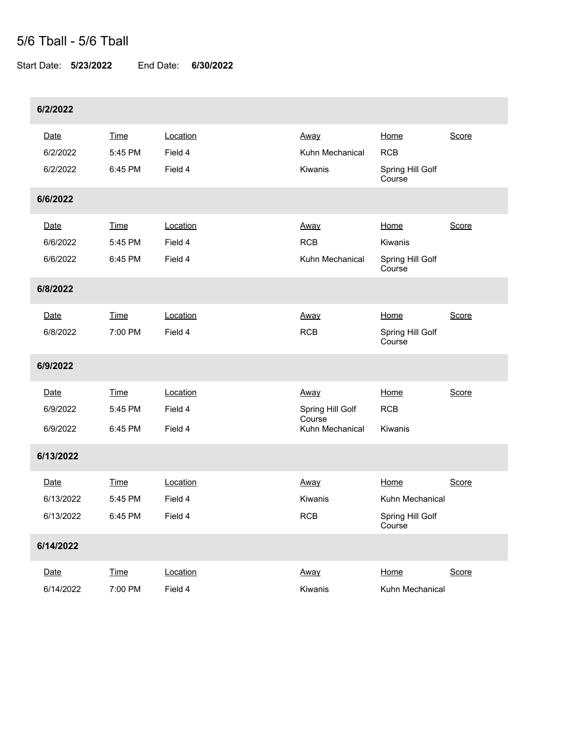## 5/6 Tball - 5/6 Tball

Start Date: **5/23/2022** End Date: **6/30/2022**

| 6/2/2022  |             |          |                           |                            |       |  |
|-----------|-------------|----------|---------------------------|----------------------------|-------|--|
| Date      | <b>Time</b> | Location | Away                      | Home                       | Score |  |
| 6/2/2022  | 5:45 PM     | Field 4  | Kuhn Mechanical           | <b>RCB</b>                 |       |  |
| 6/2/2022  | 6:45 PM     | Field 4  | Kiwanis                   | Spring Hill Golf<br>Course |       |  |
| 6/6/2022  |             |          |                           |                            |       |  |
| Date      | <b>Time</b> | Location | <u>Away</u>               | Home                       | Score |  |
| 6/6/2022  | 5:45 PM     | Field 4  | <b>RCB</b>                | Kiwanis                    |       |  |
| 6/6/2022  | 6:45 PM     | Field 4  | Kuhn Mechanical           | Spring Hill Golf<br>Course |       |  |
| 6/8/2022  |             |          |                           |                            |       |  |
| Date      | <b>Time</b> | Location | Away                      | <b>Home</b>                | Score |  |
| 6/8/2022  | 7:00 PM     | Field 4  | <b>RCB</b>                | Spring Hill Golf<br>Course |       |  |
| 6/9/2022  |             |          |                           |                            |       |  |
| Date      | <b>Time</b> | Location | Away                      | Home                       | Score |  |
| 6/9/2022  | 5:45 PM     | Field 4  | Spring Hill Golf          | <b>RCB</b>                 |       |  |
| 6/9/2022  | 6:45 PM     | Field 4  | Course<br>Kuhn Mechanical | Kiwanis                    |       |  |
| 6/13/2022 |             |          |                           |                            |       |  |
| Date      | <b>Time</b> | Location | Away                      | Home                       | Score |  |
| 6/13/2022 | 5:45 PM     | Field 4  | Kiwanis                   | Kuhn Mechanical            |       |  |
| 6/13/2022 | 6:45 PM     | Field 4  | RCB                       | Spring Hill Golf<br>Course |       |  |
| 6/14/2022 |             |          |                           |                            |       |  |
| Date      | <b>Time</b> | Location | Away                      | Home                       | Score |  |
| 6/14/2022 | 7:00 PM     | Field 4  | Kiwanis                   | Kuhn Mechanical            |       |  |